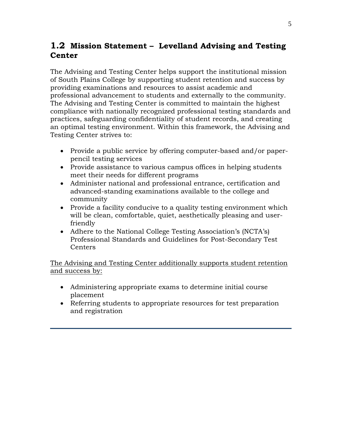## **1.2 Mission Statement – Levelland Advising and Testing Center**

The Advising and Testing Center helps support the institutional mission of South Plains College by supporting student retention and success by providing examinations and resources to assist academic and professional advancement to students and externally to the community. The Advising and Testing Center is committed to maintain the highest compliance with nationally recognized professional testing standards and practices, safeguarding confidentiality of student records, and creating an optimal testing environment. Within this framework, the Advising and Testing Center strives to:

- Provide a public service by offering computer-based and/or paperpencil testing services
- Provide assistance to various campus offices in helping students meet their needs for different programs
- Administer national and professional entrance, certification and advanced-standing examinations available to the college and community
- Provide a facility conducive to a quality testing environment which will be clean, comfortable, quiet, aesthetically pleasing and userfriendly
- Adhere to the National College Testing Association's (NCTA's) Professional Standards and Guidelines for Post-Secondary Test **Centers**

The Advising and Testing Center additionally supports student retention and success by:

- Administering appropriate exams to determine initial course placement
- Referring students to appropriate resources for test preparation and registration